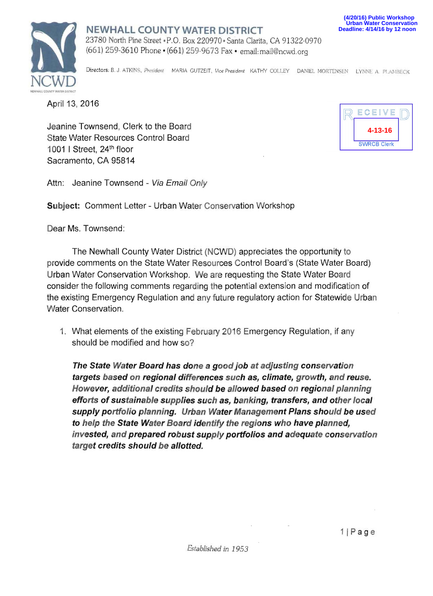

## NEWHAll COUNTY WATER DISTRICT

23780 North Pine Street · P.O. Box 220970· Santa Clarita, CA 91322-0970 (661) 259-3610 Phone' (661) 259-9673 Fax' email:mail@ncwd.org

Directors: B. J. ATKINS, President MARIA GUTZEIT, Vice President KATHY COLLEY DANIEL MORTENSEN LYNNE A. PLANIBECK

April 13, 2016

Jeanine Townsend, Clerk to the Board State Water Resources Control Board 1001 I Street, 24<sup>th</sup> floor Sacramento, CA 95814

| ECEIVE             |  |
|--------------------|--|
| 4-13-16            |  |
| <b>SWRCB Clerk</b> |  |

Attn: Jeanine Townsend - Via Email Only

Subject: Comment Letter - Urban Water Conservation Workshop

Dear Ms, Townsend:

The Newhall County Water District (NCWD) appreciates the opportunity to provide comments on the State Water Resources Control Board's (State Water Board) Urban Water Conservation Workshop. We are requesting the State Water Board consider the following comments regarding the potential extension and modification of the existing Emergency Regulation and any future regulatory action for Statewide Urban Water Conservation.

1. What elements of the existing February 2016 Emergency Regulation, if any should be modified and how so?

The State Water Board has done a good job at adjusting conservation targets based on regional differences such as, climate, growth, and reuse. However, additional credits should be allowed based on regional planning efforts of sustainable supplies such as, banking, transfers, and other local supply portfolio planning. Urban Water Management Plans should be used to help the State Water Board identify the regions who have planned, invested, and prepared robust supply portfolios and adequate conservation target credits should be allotted.